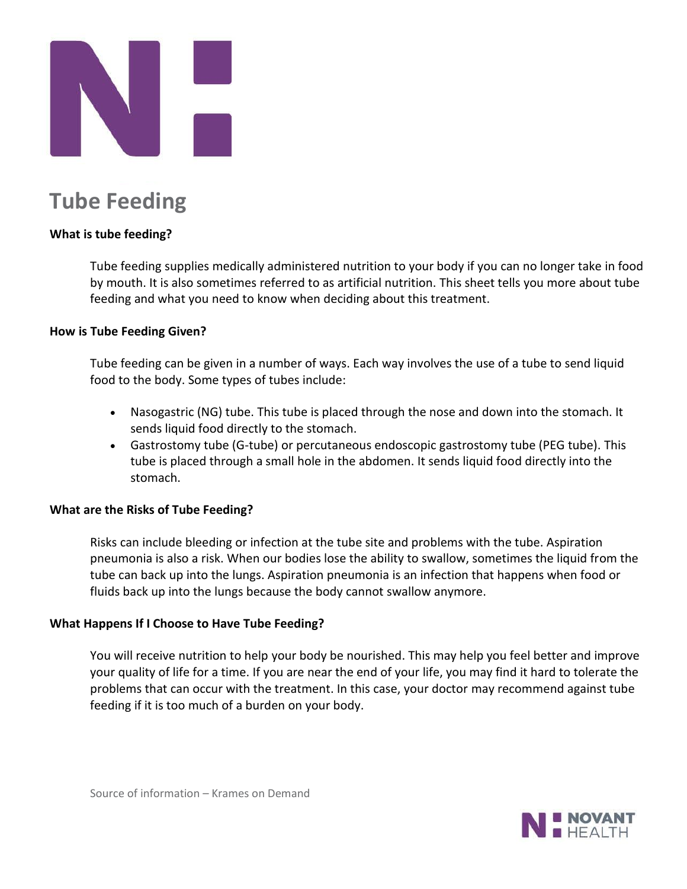

# **Tube Feeding**

## **What is tube feeding?**

Tube feeding supplies medically administered nutrition to your body if you can no longer take in food by mouth. It is also sometimes referred to as artificial nutrition. This sheet tells you more about tube feeding and what you need to know when deciding about this treatment.

### **How is Tube Feeding Given?**

Tube feeding can be given in a number of ways. Each way involves the use of a tube to send liquid food to the body. Some types of tubes include:

- Nasogastric (NG) tube. This tube is placed through the nose and down into the stomach. It sends liquid food directly to the stomach.
- Gastrostomy tube (G-tube) or percutaneous endoscopic gastrostomy tube (PEG tube). This tube is placed through a small hole in the abdomen. It sends liquid food directly into the stomach.

### **What are the Risks of Tube Feeding?**

Risks can include bleeding or infection at the tube site and problems with the tube. Aspiration pneumonia is also a risk. When our bodies lose the ability to swallow, sometimes the liquid from the tube can back up into the lungs. Aspiration pneumonia is an infection that happens when food or fluids back up into the lungs because the body cannot swallow anymore.

#### **What Happens If I Choose to Have Tube Feeding?**

You will receive nutrition to help your body be nourished. This may help you feel better and improve your quality of life for a time. If you are near the end of your life, you may find it hard to tolerate the problems that can occur with the treatment. In this case, your doctor may recommend against tube feeding if it is too much of a burden on your body.